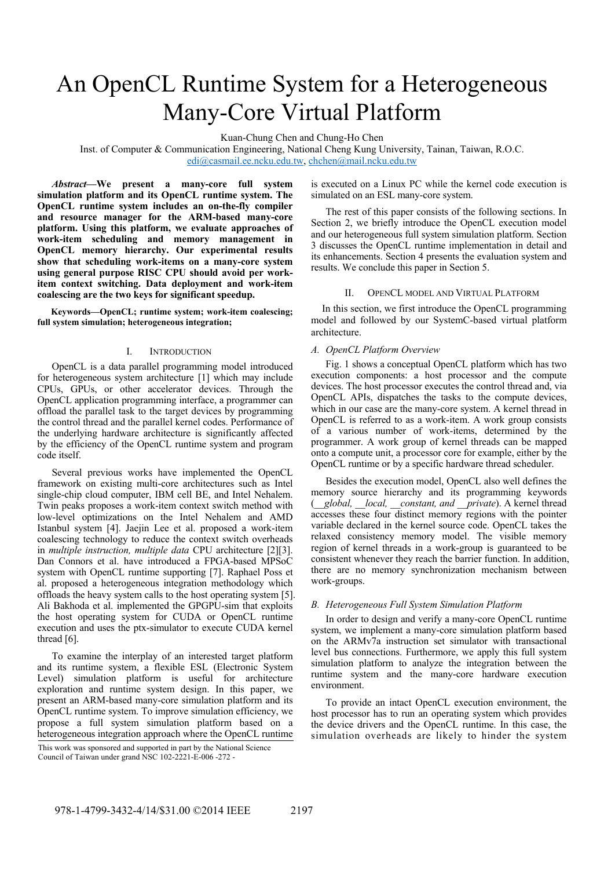# An OpenCL Runtime System for a Heterogeneous Many-Core Virtual Platform

Kuan-Chung Chen and Chung-Ho Chen

Inst. of Computer & Communication Engineering, National Cheng Kung University, Tainan, Taiwan, R.O.C. edi@casmail.ee.ncku.edu.tw, chchen@mail.ncku.edu.tw

*Abstract***—We present a many-core full system simulation platform and its OpenCL runtime system. The OpenCL runtime system includes an on-the-fly compiler and resource manager for the ARM-based many-core platform. Using this platform, we evaluate approaches of work-item scheduling and memory management in OpenCL memory hierarchy. Our experimental results show that scheduling work-items on a many-core system using general purpose RISC CPU should avoid per workitem context switching. Data deployment and work-item coalescing are the two keys for significant speedup.** 

**Keywords—OpenCL; runtime system; work-item coalescing; full system simulation; heterogeneous integration;** 

## I. INTRODUCTION

OpenCL is a data parallel programming model introduced for heterogeneous system architecture [1] which may include CPUs, GPUs, or other accelerator devices. Through the OpenCL application programming interface, a programmer can offload the parallel task to the target devices by programming the control thread and the parallel kernel codes. Performance of the underlying hardware architecture is significantly affected by the efficiency of the OpenCL runtime system and program code itself.

Several previous works have implemented the OpenCL framework on existing multi-core architectures such as Intel single-chip cloud computer, IBM cell BE, and Intel Nehalem. Twin peaks proposes a work-item context switch method with low-level optimizations on the Intel Nehalem and AMD Istanbul system [4]. Jaejin Lee et al. proposed a work-item coalescing technology to reduce the context switch overheads in *multiple instruction, multiple data* CPU architecture [2][3]. Dan Connors et al. have introduced a FPGA-based MPSoC system with OpenCL runtime supporting [7]. Raphael Poss et al. proposed a heterogeneous integration methodology which offloads the heavy system calls to the host operating system [5]. Ali Bakhoda et al. implemented the GPGPU-sim that exploits the host operating system for CUDA or OpenCL runtime execution and uses the ptx-simulator to execute CUDA kernel thread [6].

To examine the interplay of an interested target platform and its runtime system, a flexible ESL (Electronic System Level) simulation platform is useful for architecture exploration and runtime system design. In this paper, we present an ARM-based many-core simulation platform and its OpenCL runtime system. To improve simulation efficiency, we propose a full system simulation platform based on a heterogeneous integration approach where the OpenCL runtime

This work was sponsored and supported in part by the National Science Council of Taiwan under grand NSC 102-2221-E-006 -272 -

is executed on a Linux PC while the kernel code execution is simulated on an ESL many-core system.

The rest of this paper consists of the following sections. In Section 2, we briefly introduce the OpenCL execution model and our heterogeneous full system simulation platform. Section 3 discusses the OpenCL runtime implementation in detail and its enhancements. Section 4 presents the evaluation system and results. We conclude this paper in Section 5.

## II. OPENCL MODEL AND VIRTUAL PLATFORM

In this section, we first introduce the OpenCL programming model and followed by our SystemC-based virtual platform architecture.

### *A. OpenCL Platform Overview*

Fig. 1 shows a conceptual OpenCL platform which has two execution components: a host processor and the compute devices. The host processor executes the control thread and, via OpenCL APIs, dispatches the tasks to the compute devices, which in our case are the many-core system. A kernel thread in OpenCL is referred to as a work-item. A work group consists of a various number of work-items, determined by the programmer. A work group of kernel threads can be mapped onto a compute unit, a processor core for example, either by the OpenCL runtime or by a specific hardware thread scheduler.

Besides the execution model, OpenCL also well defines the memory source hierarchy and its programming keywords (*\_\_global, \_\_local, \_\_constant, and \_\_private*). A kernel thread accesses these four distinct memory regions with the pointer variable declared in the kernel source code. OpenCL takes the relaxed consistency memory model. The visible memory region of kernel threads in a work-group is guaranteed to be consistent whenever they reach the barrier function. In addition, there are no memory synchronization mechanism between work-groups.

#### *B. Heterogeneous Full System Simulation Platform*

In order to design and verify a many-core OpenCL runtime system, we implement a many-core simulation platform based on the ARMv7a instruction set simulator with transactional level bus connections. Furthermore, we apply this full system simulation platform to analyze the integration between the runtime system and the many-core hardware execution environment.

To provide an intact OpenCL execution environment, the host processor has to run an operating system which provides the device drivers and the OpenCL runtime. In this case, the simulation overheads are likely to hinder the system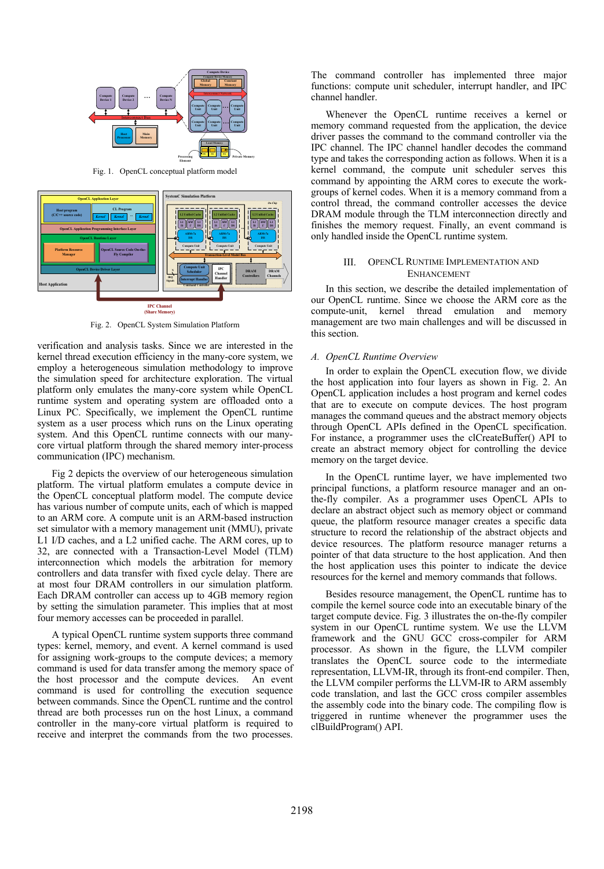

Fig. 1. OpenCL conceptual platform model



Fig. 2. OpenCL System Simulation Platform

verification and analysis tasks. Since we are interested in the kernel thread execution efficiency in the many-core system, we employ a heterogeneous simulation methodology to improve the simulation speed for architecture exploration. The virtual platform only emulates the many-core system while OpenCL runtime system and operating system are offloaded onto a Linux PC. Specifically, we implement the OpenCL runtime system as a user process which runs on the Linux operating system. And this OpenCL runtime connects with our manycore virtual platform through the shared memory inter-process communication (IPC) mechanism.

Fig 2 depicts the overview of our heterogeneous simulation platform. The virtual platform emulates a compute device in the OpenCL conceptual platform model. The compute device has various number of compute units, each of which is mapped to an ARM core. A compute unit is an ARM-based instruction set simulator with a memory management unit (MMU), private L1 I/D caches, and a L2 unified cache. The ARM cores, up to 32, are connected with a Transaction-Level Model (TLM) interconnection which models the arbitration for memory controllers and data transfer with fixed cycle delay. There are at most four DRAM controllers in our simulation platform. Each DRAM controller can access up to 4GB memory region by setting the simulation parameter. This implies that at most four memory accesses can be proceeded in parallel.

A typical OpenCL runtime system supports three command types: kernel, memory, and event. A kernel command is used for assigning work-groups to the compute devices; a memory command is used for data transfer among the memory space of the host processor and the compute devices. An event command is used for controlling the execution sequence between commands. Since the OpenCL runtime and the control thread are both processes run on the host Linux, a command controller in the many-core virtual platform is required to receive and interpret the commands from the two processes.

The command controller has implemented three major functions: compute unit scheduler, interrupt handler, and IPC channel handler.

Whenever the OpenCL runtime receives a kernel or memory command requested from the application, the device driver passes the command to the command controller via the IPC channel. The IPC channel handler decodes the command type and takes the corresponding action as follows. When it is a kernel command, the compute unit scheduler serves this command by appointing the ARM cores to execute the workgroups of kernel codes. When it is a memory command from a control thread, the command controller accesses the device DRAM module through the TLM interconnection directly and finishes the memory request. Finally, an event command is only handled inside the OpenCL runtime system.

## III. OPENCL RUNTIME IMPLEMENTATION AND ENHANCEMENT

In this section, we describe the detailed implementation of our OpenCL runtime. Since we choose the ARM core as the compute-unit, kernel thread emulation and memory management are two main challenges and will be discussed in this section.

#### *A. OpenCL Runtime Overview*

In order to explain the OpenCL execution flow, we divide the host application into four layers as shown in Fig. 2. An OpenCL application includes a host program and kernel codes that are to execute on compute devices. The host program manages the command queues and the abstract memory objects through OpenCL APIs defined in the OpenCL specification. For instance, a programmer uses the clCreateBuffer() API to create an abstract memory object for controlling the device memory on the target device.

In the OpenCL runtime layer, we have implemented two principal functions, a platform resource manager and an onthe-fly compiler. As a programmer uses OpenCL APIs to declare an abstract object such as memory object or command queue, the platform resource manager creates a specific data structure to record the relationship of the abstract objects and device resources. The platform resource manager returns a pointer of that data structure to the host application. And then the host application uses this pointer to indicate the device resources for the kernel and memory commands that follows.

Besides resource management, the OpenCL runtime has to compile the kernel source code into an executable binary of the target compute device. Fig. 3 illustrates the on-the-fly compiler system in our OpenCL runtime system. We use the LLVM framework and the GNU GCC cross-compiler for ARM processor. As shown in the figure, the LLVM compiler translates the OpenCL source code to the intermediate representation, LLVM-IR, through its front-end compiler. Then, the LLVM compiler performs the LLVM-IR to ARM assembly code translation, and last the GCC cross compiler assembles the assembly code into the binary code. The compiling flow is triggered in runtime whenever the programmer uses the clBuildProgram() API.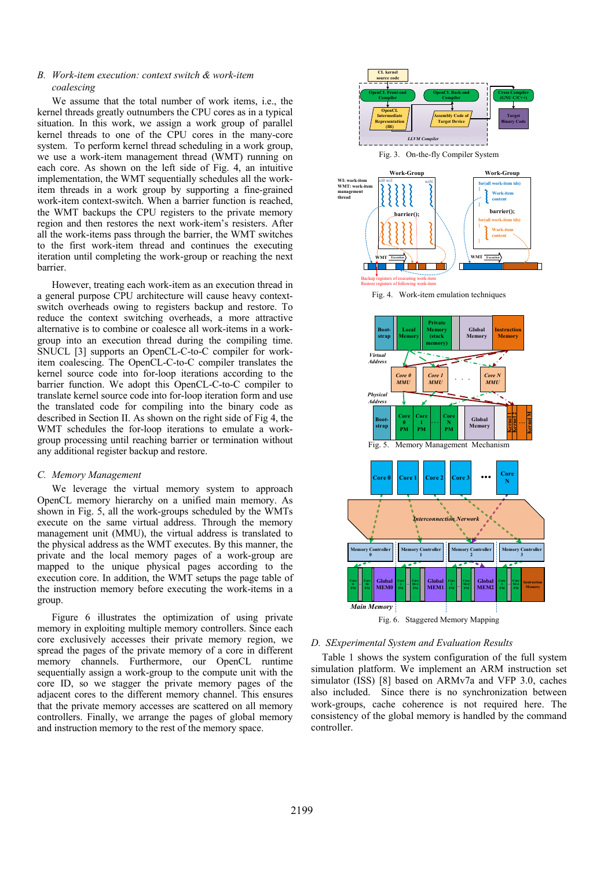## *B. Work-item execution: context switch & work-item coalescing*

 We assume that the total number of work items, i.e., the kernel threads greatly outnumbers the CPU cores as in a typical situation. In this work, we assign a work group of parallel kernel threads to one of the CPU cores in the many-core system. To perform kernel thread scheduling in a work group, we use a work-item management thread (WMT) running on each core. As shown on the left side of Fig. 4, an intuitive implementation, the WMT sequentially schedules all the workitem threads in a work group by supporting a fine-grained work-item context-switch. When a barrier function is reached, the WMT backups the CPU registers to the private memory region and then restores the next work-item's resisters. After all the work-items pass through the barrier, the WMT switches to the first work-item thread and continues the executing iteration until completing the work-group or reaching the next barrier.

However, treating each work-item as an execution thread in a general purpose CPU architecture will cause heavy contextswitch overheads owing to registers backup and restore. To reduce the context switching overheads, a more attractive alternative is to combine or coalesce all work-items in a workgroup into an execution thread during the compiling time. SNUCL [3] supports an OpenCL-C-to-C compiler for workitem coalescing. The OpenCL-C-to-C compiler translates the kernel source code into for-loop iterations according to the barrier function. We adopt this OpenCL-C-to-C compiler to translate kernel source code into for-loop iteration form and use the translated code for compiling into the binary code as described in Section II. As shown on the right side of Fig 4, the WMT schedules the for-loop iterations to emulate a workgroup processing until reaching barrier or termination without any additional register backup and restore.

## *C. Memory Management*

We leverage the virtual memory system to approach OpenCL memory hierarchy on a unified main memory. As shown in Fig. 5, all the work-groups scheduled by the WMTs execute on the same virtual address. Through the memory management unit (MMU), the virtual address is translated to the physical address as the WMT executes. By this manner, the private and the local memory pages of a work-group are mapped to the unique physical pages according to the execution core. In addition, the WMT setups the page table of the instruction memory before executing the work-items in a group.

Figure 6 illustrates the optimization of using private memory in exploiting multiple memory controllers. Since each core exclusively accesses their private memory region, we spread the pages of the private memory of a core in different memory channels. Furthermore, our OpenCL runtime sequentially assign a work-group to the compute unit with the core ID, so we stagger the private memory pages of the adjacent cores to the different memory channel. This ensures that the private memory accesses are scattered on all memory controllers. Finally, we arrange the pages of global memory and instruction memory to the rest of the memory space.



## *D. SExperimental System and Evaluation Results*

Table 1 shows the system configuration of the full system simulation platform. We implement an ARM instruction set simulator (ISS) [8] based on ARMv7a and VFP 3.0, caches also included. Since there is no synchronization between work-groups, cache coherence is not required here. The consistency of the global memory is handled by the command controller.